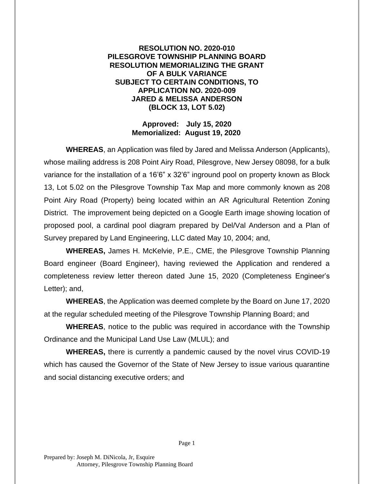## **RESOLUTION NO. 2020-010 PILESGROVE TOWNSHIP PLANNING BOARD RESOLUTION MEMORIALIZING THE GRANT OF A BULK VARIANCE SUBJECT TO CERTAIN CONDITIONS, TO APPLICATION NO. 2020-009 JARED & MELISSA ANDERSON (BLOCK 13, LOT 5.02)**

## **Approved: July 15, 2020 Memorialized: August 19, 2020**

**WHEREAS**, an Application was filed by Jared and Melissa Anderson (Applicants), whose mailing address is 208 Point Airy Road, Pilesgrove, New Jersey 08098, for a bulk variance for the installation of a 16'6" x 32'6" inground pool on property known as Block 13, Lot 5.02 on the Pilesgrove Township Tax Map and more commonly known as 208 Point Airy Road (Property) being located within an AR Agricultural Retention Zoning District. The improvement being depicted on a Google Earth image showing location of proposed pool, a cardinal pool diagram prepared by Del/Val Anderson and a Plan of Survey prepared by Land Engineering, LLC dated May 10, 2004; and,

**WHEREAS,** James H. McKelvie, P.E., CME, the Pilesgrove Township Planning Board engineer (Board Engineer), having reviewed the Application and rendered a completeness review letter thereon dated June 15, 2020 (Completeness Engineer's Letter); and,

**WHEREAS**, the Application was deemed complete by the Board on June 17, 2020 at the regular scheduled meeting of the Pilesgrove Township Planning Board; and

**WHEREAS**, notice to the public was required in accordance with the Township Ordinance and the Municipal Land Use Law (MLUL); and

**WHEREAS,** there is currently a pandemic caused by the novel virus COVID-19 which has caused the Governor of the State of New Jersey to issue various quarantine and social distancing executive orders; and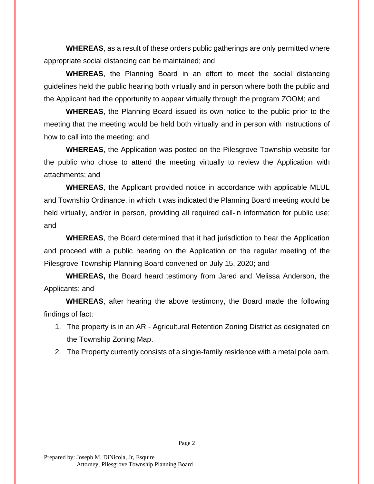**WHEREAS**, as a result of these orders public gatherings are only permitted where appropriate social distancing can be maintained; and

**WHEREAS**, the Planning Board in an effort to meet the social distancing guidelines held the public hearing both virtually and in person where both the public and the Applicant had the opportunity to appear virtually through the program ZOOM; and

**WHEREAS**, the Planning Board issued its own notice to the public prior to the meeting that the meeting would be held both virtually and in person with instructions of how to call into the meeting; and

**WHEREAS**, the Application was posted on the Pilesgrove Township website for the public who chose to attend the meeting virtually to review the Application with attachments; and

**WHEREAS**, the Applicant provided notice in accordance with applicable MLUL and Township Ordinance, in which it was indicated the Planning Board meeting would be held virtually, and/or in person, providing all required call-in information for public use; and

**WHEREAS**, the Board determined that it had jurisdiction to hear the Application and proceed with a public hearing on the Application on the regular meeting of the Pilesgrove Township Planning Board convened on July 15, 2020; and

**WHEREAS,** the Board heard testimony from Jared and Melissa Anderson, the Applicants; and

**WHEREAS**, after hearing the above testimony, the Board made the following findings of fact:

1. The property is in an AR - Agricultural Retention Zoning District as designated on the Township Zoning Map.

2. The Property currently consists of a single-family residence with a metal pole barn.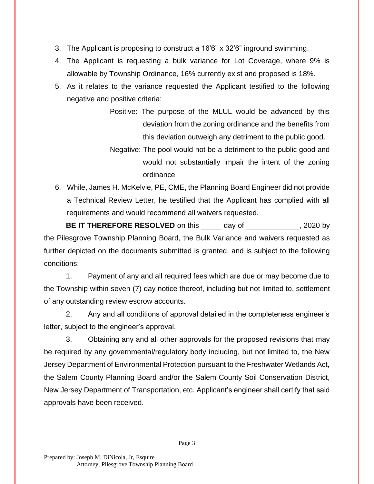- 3. The Applicant is proposing to construct a 16'6" x 32'6" inground swimming.
- 4. The Applicant is requesting a bulk variance for Lot Coverage, where 9% is allowable by Township Ordinance, 16% currently exist and proposed is 18%.
- 5. As it relates to the variance requested the Applicant testified to the following negative and positive criteria:

Positive: The purpose of the MLUL would be advanced by this deviation from the zoning ordinance and the benefits from this deviation outweigh any detriment to the public good.

- Negative: The pool would not be a detriment to the public good and would not substantially impair the intent of the zoning ordinance
- 6. While, James H. McKelvie, PE, CME, the Planning Board Engineer did not provide a Technical Review Letter, he testified that the Applicant has complied with all requirements and would recommend all waivers requested.

**BE IT THEREFORE RESOLVED** on this \_\_\_\_\_ day of \_\_\_\_\_\_\_\_\_\_\_\_, 2020 by the Pilesgrove Township Planning Board, the Bulk Variance and waivers requested as further depicted on the documents submitted is granted, and is subject to the following conditions:

1. Payment of any and all required fees which are due or may become due to the Township within seven (7) day notice thereof, including but not limited to, settlement of any outstanding review escrow accounts.

2. Any and all conditions of approval detailed in the completeness engineer's letter, subject to the engineer's approval.

3. Obtaining any and all other approvals for the proposed revisions that may be required by any governmental/regulatory body including, but not limited to, the New Jersey Department of Environmental Protection pursuant to the Freshwater Wetlands Act, the Salem County Planning Board and/or the Salem County Soil Conservation District, New Jersey Department of Transportation, etc. Applicant's engineer shall certify that said approvals have been received.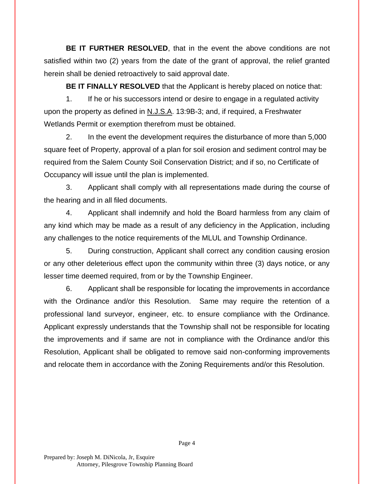**BE IT FURTHER RESOLVED**, that in the event the above conditions are not satisfied within two (2) years from the date of the grant of approval, the relief granted herein shall be denied retroactively to said approval date.

**BE IT FINALLY RESOLVED** that the Applicant is hereby placed on notice that:

1. If he or his successors intend or desire to engage in a regulated activity upon the property as defined in N.J.S.A. 13:9B-3; and, if required, a Freshwater Wetlands Permit or exemption therefrom must be obtained.

2. In the event the development requires the disturbance of more than 5,000 square feet of Property, approval of a plan for soil erosion and sediment control may be required from the Salem County Soil Conservation District; and if so, no Certificate of Occupancy will issue until the plan is implemented.

3. Applicant shall comply with all representations made during the course of the hearing and in all filed documents.

4. Applicant shall indemnify and hold the Board harmless from any claim of any kind which may be made as a result of any deficiency in the Application, including any challenges to the notice requirements of the MLUL and Township Ordinance.

5. During construction, Applicant shall correct any condition causing erosion or any other deleterious effect upon the community within three (3) days notice, or any lesser time deemed required, from or by the Township Engineer.

6. Applicant shall be responsible for locating the improvements in accordance with the Ordinance and/or this Resolution. Same may require the retention of a professional land surveyor, engineer, etc. to ensure compliance with the Ordinance. Applicant expressly understands that the Township shall not be responsible for locating the improvements and if same are not in compliance with the Ordinance and/or this Resolution, Applicant shall be obligated to remove said non-conforming improvements and relocate them in accordance with the Zoning Requirements and/or this Resolution.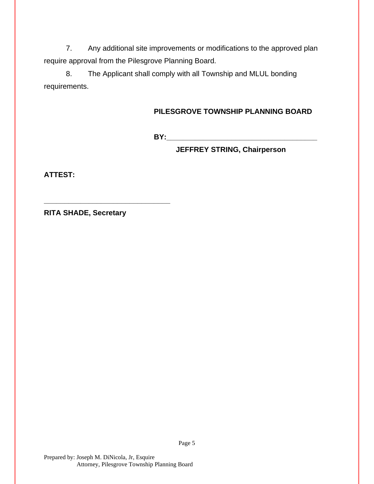7. Any additional site improvements or modifications to the approved plan require approval from the Pilesgrove Planning Board.

8. The Applicant shall comply with all Township and MLUL bonding requirements.

## **PILESGROVE TOWNSHIP PLANNING BOARD**

**BY:\_\_\_\_\_\_\_\_\_\_\_\_\_\_\_\_\_\_\_\_\_\_\_\_\_\_\_\_\_\_\_\_\_\_\_\_\_**

**JEFFREY STRING, Chairperson**

**ATTEST:**

**RITA SHADE, Secretary**

**\_\_\_\_\_\_\_\_\_\_\_\_\_\_\_\_\_\_\_\_\_\_\_\_\_\_\_\_\_\_\_**